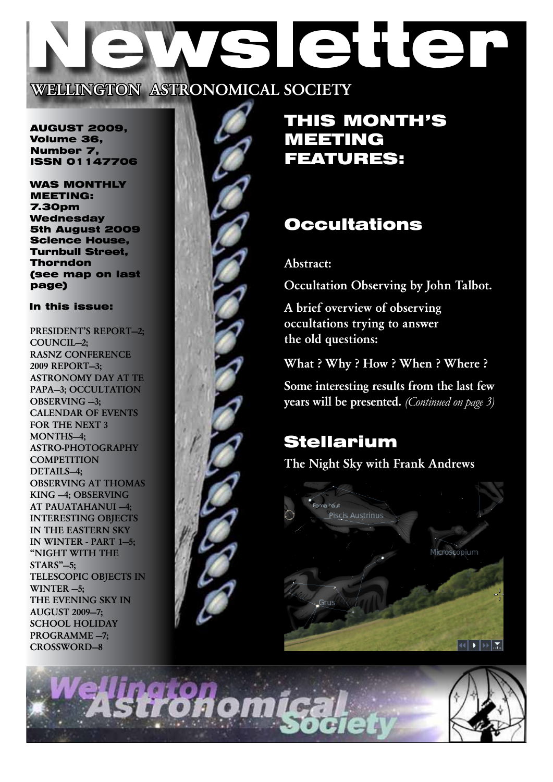# SIENET WELLINGTON ASTRONOMICAL SOCIETY

AUGUST 2009, Volume 36, Number 7, ISSN 01147706

WAS MONTHLY MEETING: 7.30pm **Wednesday** 5th August 2009 Science House, Turnbull Street, Thorndon (see map on last page)

## In this issue:

PRESIDENT'S REPORT—2; COUNCIL—2; RASNZ Conference 2009 Report—3; Astronomy Day at Te PAPA-3; OCCULTATION OBSERVING -3; Calendar of events for the next 3 MONTHS-4: Astro-photography **COMPETITION** DETAILS-4; OBSERVING AT THOMAS KING —4; OBSERVING AT PAUATAHANUI —4; Interesting Objects in the Eastern Sky in Winter - Part 1—5; "Night with the  $STARS$ " $-5$ : Telescopic objects in WINTER  $-5$ ; THE EVENING SKY IN AUGUST 2009—7; SCHOOL HOLIDAY Programme —7; CROSSWORD—8



## THIS MONTH'S MEETING FEATURES:

# **Occultations**

## Abstract:

Occultation Observing by John Talbot.

A brief overview of observing occultations trying to answer the old questions:

What ? Why ? How ? When ? Where ?

Some interesting results from the last few years will be presented. *(Continued on page 3)*

# Stellarium

The Night Sky with Frank Andrews



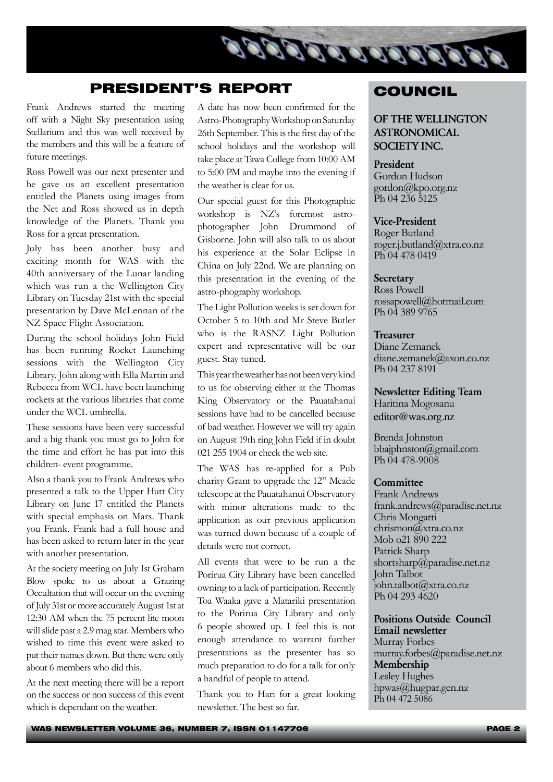

## PRESIDENT'S REPORT

Frank Andrews started the meeting off with a Night Sky presentation using Stellarium and this was well received by the members and this will be a feature of future meetings.

Ross Powell was our next presenter and he gave us an excellent presentation entitled the Planets using images from the Net and Ross showed us in depth knowledge of the Planets. Thank you Ross for a great presentation.

July has been another busy and exciting month for WAS with the 40th anniversary of the Lunar landing which was run a the Wellington City Library on Tuesday 21st with the special presentation by Dave McLennan of the NZ Space Flight Association.

During the school holidays John Field has been running Rocket Launching sessions with the Wellington City Library. John along with Ella Martin and Rebecca from WCL have been launching rockets at the various libraries that come under the WCL umbrella.

These sessions have been very successful and a big thank you must go to John for the time and effort he has put into this children- event programme.

Also a thank you to Frank Andrews who presented a talk to the Upper Hutt City Library on June 17 entitled the Planets with special emphasis on Mars. Thank you Frank. Frank had a full house and has been asked to return later in the year with another presentation.

At the society meeting on July 1st Graham Blow spoke to us about a Grazing Occultation that will occur on the evening of July 31st or more accurately August 1st at 12:30 AM when the 75 percent lite moon will slide past a 2.9 mag star. Members who wished to time this event were asked to put their names down. But there were only about 6 members who did this.

At the next meeting there will be a report on the success or non success of this event which is dependant on the weather.

A date has now been confirmed for the Astro-Photography Workshop on Saturday 26th September. This is the first day of the school holidays and the workshop will take place at Tawa College from 10:00 AM to 5:00 PM and maybe into the evening if the weather is clear for us.

Our special guest for this Photographic workshop is NZ's foremost astrophotographer John Drummond of Gisborne. John will also talk to us about his experience at the Solar Eclipse in China on July 22nd. We are planning on this presentation in the evening of the astro-phography workshop.

The Light Pollution weeks is set down for October 5 to 10th and Mr Steve Butler who is the RASNZ Light Pollution expert and representative will be our guest. Stay tuned.

This year the weather has not been very kind to us for observing either at the Thomas King Observatory or the Pauatahanui sessions have had to be cancelled because of bad weather. However we will try again on August 19th ring John Field if in doubt 021 255 1904 or check the web site.

The WAS has re-applied for a Pub charity Grant to upgrade the 12" Meade telescope at the Pauatahanui Observatory with minor alterations made to the application as our previous application was turned down because of a couple of details were not correct.

All events that were to be run a the Porirua City Library have been cancelled owning to a lack of participation. Recently Toa Waaka gave a Matariki presentation to the Porirua City Library and only 6 people showed up. I feel this is not enough attendance to warrant further presentations as the presenter has so much preparation to do for a talk for only a handful of people to attend.

Thank you to Hari for a great looking newsletter. The best so far.

## **COUNCIL**

## OF THE WELLINGTON ASTRONOMICAL SOCIETY INC.

## President

Gordon Hudson gordon@kpo.org.nz Ph 04 236 5125

#### Vice-President

Roger Butland roger.j.butland@xtra.co.nz Ph 04 478 0419

#### **Secretary**

Ross Powell rossapowell@hotmail.com Ph 04 389 9765

#### Treasurer

Diane Zemanek diane.zemanek@axon.co.nz Ph 04 237 8191

Newsletter Editing Team Haritina Mogosanu editor@was.org.nz

Brenda Johnston bbajphnston@gmail.com Ph 04 478-9008

#### **Committee**

Frank Andrews frank.andrews@paradise.net.nz Chris Mongatti chrismon@xtra.co.nz Mob o21 890 222 Patrick Sharp shortsharp@paradise.net.nz John Talbot john.talbot@xtra.co.nz Ph 04 293 4620

### Positions Outside Council Email newsletter

Murray Forbes murray.forbes@paradise.net.nz Membership Lesley Hughes hpwas@hugpar.gen.nz Ph 04 472 5086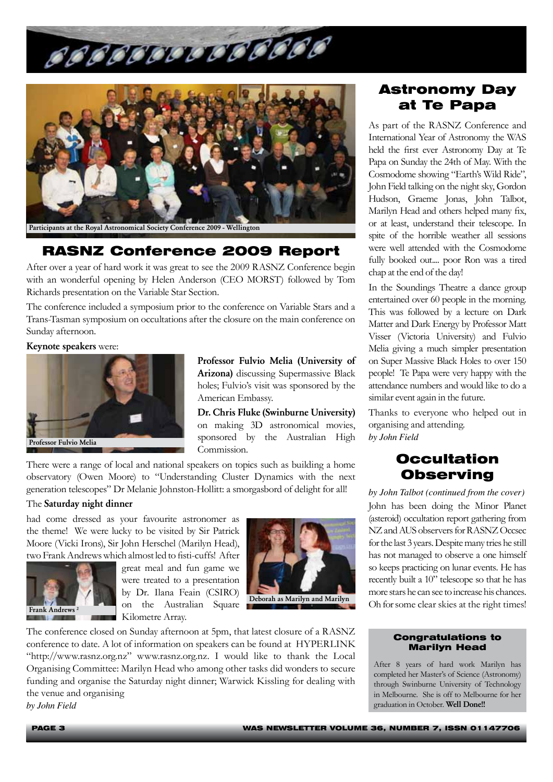



## RASNZ Conference 2009 Report

After over a year of hard work it was great to see the 2009 RASNZ Conference begin with an wonderful opening by Helen Anderson (CEO MORST) followed by Tom Richards presentation on the Variable Star Section.

The conference included a symposium prior to the conference on Variable Stars and a Trans-Tasman symposium on occultations after the closure on the main conference on Sunday afternoon.

#### Keynote speakers were:



Professor Fulvio Melia (University of Arizona) discussing Supermassive Black holes; Fulvio's visit was sponsored by the American Embassy.

Dr. Chris Fluke (Swinburne University) on making 3D astronomical movies, Professor Fulvio Melia **Professor Fulvio Melia** Professor Fulvio Melia **Professor Fulvio Melia** Commission.

There were a range of local and national speakers on topics such as building a home observatory (Owen Moore) to "Understanding Cluster Dynamics with the next generation telescopes" Dr Melanie Johnston-Hollitt: a smorgasbord of delight for all!

#### The Saturday night dinner

had come dressed as your favourite astronomer as the theme! We were lucky to be visited by Sir Patrick Moore (Vicki Irons), Sir John Herschel (Marilyn Head), two Frank Andrews which almost led to fisti-cuffs! After



great meal and fun game we were treated to a presentation by Dr. Ilana Feain (CSIRO) on the Australian Square Kilometre Array.



The conference closed on Sunday afternoon at 5pm, that latest closure of a RASNZ conference to date. A lot of information on speakers can be found at HYPERLINK "http://www.rasnz.org.nz" www.rasnz.org.nz. I would like to thank the Local Organising Committee: Marilyn Head who among other tasks did wonders to secure funding and organise the Saturday night dinner; Warwick Kissling for dealing with the venue and organising *by John Field*

## Astronomy Day at Te Papa

As part of the RASNZ Conference and International Year of Astronomy the WAS held the first ever Astronomy Day at Te Papa on Sunday the 24th of May. With the Cosmodome showing "Earth's Wild Ride", John Field talking on the night sky, Gordon Hudson, Graeme Jonas, John Talbot, Marilyn Head and others helped many fix, or at least, understand their telescope. In spite of the horrible weather all sessions were well attended with the Cosmodome fully booked out.... poor Ron was a tired chap at the end of the day!

In the Soundings Theatre a dance group entertained over 60 people in the morning. This was followed by a lecture on Dark Matter and Dark Energy by Professor Matt Visser (Victoria University) and Fulvio Melia giving a much simpler presentation on Super Massive Black Holes to over 150 people! Te Papa were very happy with the attendance numbers and would like to do a similar event again in the future.

Thanks to everyone who helped out in organising and attending.

## **Occultation Observing**

*by John Talbot (continued from the cover)* John has been doing the Minor Planet (asteroid) occultation report gathering from NZ and AUS observers for RASNZ Occsec for the last 3 years. Despite many tries he still has not managed to observe a one himself so keeps practicing on lunar events. He has recently built a 10" telescope so that he has more stars he can see to increase his chances. Oh for some clear skies at the right times!

#### Congratulations to Marilyn Head

After 8 years of hard work Marilyn has completed her Master's of Science (Astronomy) through Swinburne University of Technology in Melbourne. She is off to Melbourne for her graduation in October. Well Done!!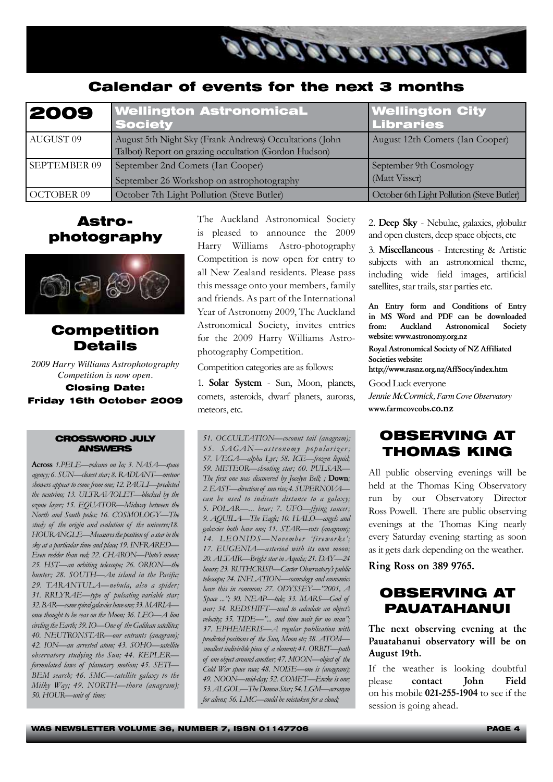

## Calendar of events for the next 3 months

| 2009                 | <b>Wellington AstronomicaL</b><br><b>Society</b>                                                                 | <b>Wellington City</b><br><b>Libraries</b> |
|----------------------|------------------------------------------------------------------------------------------------------------------|--------------------------------------------|
| AUGUST <sub>09</sub> | August 5th Night Sky (Frank Andrews) Occultations (John<br>Talbot) Report on grazing occultation (Gordon Hudson) | August 12th Comets (Ian Cooper)            |
| <b>SEPTEMBER 09</b>  | September 2nd Comets (Ian Cooper)<br>September 26 Workshop on astrophotography                                   | September 9th Cosmology<br>(Matt Visser)   |
| OCTOBER 09           | October 7th Light Pollution (Steve Butler)                                                                       | October 6th Light Pollution (Steve Butler) |

## Astrophotography



## Competition Details

*2009 Harry Williams Astrophotography Competition is now open.* 

Closing Date: Friday 16th October 2009

#### CROSSWORD JULY ANSWERS

Across *1.PELE—volcano on Io; 3. NASA—space agency; 6. SUN—closest star; 8. RADIANT—meteor showers appear to come from one; 12. PAULI—predicted the neutrino; 13. ULTRAVIOLET—blocked by the ozone layer; 15. EQUATOR—Midway between the North and South poles; 16. COSMOLOGY—The study of the origin and evolution of the universe;18. HOURANGLE—Measures the position of a star in the sky at a particular time and place; 19. INFRARED— Even redder than red; 22. CHARON—Pluto's moon; 25. HST—an orbiting telescope; 26. ORION—the hunter; 28. SOUTH—An island in the Pacific; 29. TARANTULA—nebula, also a spider; 31. RRLYRAE—type of pulsating variable star; 32. BAR—some spiral galaxies have one; 33. MARIA once thought to be seas on the Moon; 36. LEO—A lion circling the Earth; 39. IO—One of the Galilean satellites; 40. NEUTRONSTAR—our entrants (anagram); 42. ION—an arrested atom; 43. SOHO—satellite observatory studying the Sun; 44. KEPLER formulated laws of planetary motion; 45. SETI— BEM search; 46. SMC—satellite galaxy to the Milky Way; 49. NORTH—thorn (anagram); 50. HOUR—unit of time;* 

The Auckland Astronomical Society is pleased to announce the 2009 Harry Williams Astro-photography Competition is now open for entry to all New Zealand residents. Please pass this message onto your members, family and friends. As part of the International Year of Astronomy 2009, The Auckland Astronomical Society, invites entries for the 2009 Harry Williams Astrophotography Competition.

Competition categories are as follows:

1. Solar System - Sun, Moon, planets, comets, asteroids, dwarf planets, auroras, meteors, etc.

*51. OCCULTATION—coconut tail (anagram); 55. SAGAN—astr onomy popularizer ; 57. VEGA—alpha Lyr; 58. ICE—frozen liquid; 59. METEOR—shooting star; 60. PULSAR— The first one was discovered by Jocelyn Bell; ;* Down*; 2. EAST—direction of sun rise; 4. SUPERNOVA can be used to indicate distance to a galaxy; 5. POLAR—... bear; 7. UFO—flying saucer; 9. AQUILA—The Eagle; 10. HALO—angels and galaxies both have one; 11. STAR—rats (anagram); 14. LEONIDS—November 'fireworks'; 17. EUGENIA—asteriod with its own moon; 20. ALTAIR—Bright star in Aquila; 21. DAY—24 hours; 23. RUTHCRISP—Carter Observatory's public telescope; 24. INFLATION—cosmology and economics have this in common; 27. ODYSSEY—"2001, A Space ..."; 30. NEAP—tide; 33. MARS—God of war; 34. REDSHIFT—used to calculate an object's velocity; 35. TIDE—"... and time wait for no man"; 37. EPHEMERIS—A regular publication with predicted positions of the Sun, Moon etc; 38. ATOM smallest indivisible piece of a element; 41. ORBIT—path of one object around another; 47. MOON—object of the Cold War space race; 48. NOISE—one is (anagram); 49. NOON—mid-day; 52. COMET—Encke is one; 53. ALGOL—The Demon Star; 54. LGM—acronym for aliens; 56. LMC—could be mistaken for a cloud;* 

2. Deep Sky - Nebulae, galaxies, globular and open clusters, deep space objects, etc

3. Miscellaneous - Interesting & Artistic subjects with an astronomical theme, including wide field images, artificial satellites, star trails, star parties etc.

An Entry form and Conditions of Entry in MS Word and PDF can be downloaded from: Auckland Astronomical Society website: www.astronomy.org.nz

Royal Astronomical Society of NZ Affiliated Societies website:

http://www.rasnz.org.nz/AffSocs/index.htm

Good Luck everyone *Jennie McCormick, Farm Cove Observatory*  www.farmcoveobs.co.nz

## OBSERVING AT THOMAS KING

All public observing evenings will be held at the Thomas King Observatory run by our Observatory Director Ross Powell. There are public observing evenings at the Thomas King nearly every Saturday evening starting as soon as it gets dark depending on the weather.

Ring Ross on 389 9765.

## OBSERVING AT PAUATAHANUI

The next observing evening at the Pauatahanui observatory will be on August 19th.

If the weather is looking doubtful please contact John Field on his mobile 021-255-1904 to see if the session is going ahead.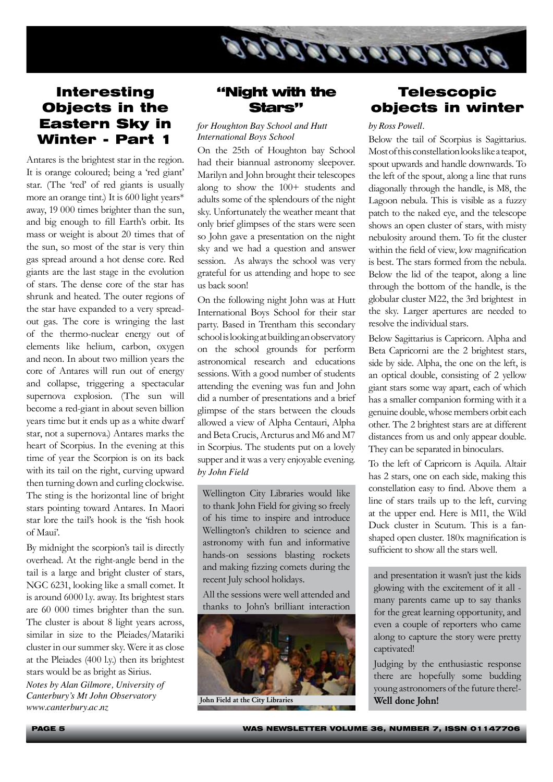

## Interesting Objects in the Eastern Sky in Winter - Part 1

Antares is the brightest star in the region. It is orange coloured; being a 'red giant' star. (The 'red' of red giants is usually more an orange tint.) It is 600 light years\* away, 19 000 times brighter than the sun, and big enough to fill Earth's orbit. Its mass or weight is about 20 times that of the sun, so most of the star is very thin gas spread around a hot dense core. Red giants are the last stage in the evolution of stars. The dense core of the star has shrunk and heated. The outer regions of the star have expanded to a very spreadout gas. The core is wringing the last of the thermo-nuclear energy out of elements like helium, carbon, oxygen and neon. In about two million years the core of Antares will run out of energy and collapse, triggering a spectacular supernova explosion. (The sun will become a red-giant in about seven billion years time but it ends up as a white dwarf star, not a supernova.) Antares marks the heart of Scorpius. In the evening at this time of year the Scorpion is on its back with its tail on the right, curving upward then turning down and curling clockwise. The sting is the horizontal line of bright stars pointing toward Antares. In Maori star lore the tail's hook is the 'fish hook of Maui'.

By midnight the scorpion's tail is directly overhead. At the right-angle bend in the tail is a large and bright cluster of stars, NGC 6231, looking like a small comet. It is around 6000 l.y. away. Its brightest stars are 60 000 times brighter than the sun. The cluster is about 8 light years across, similar in size to the Pleiades/Matariki cluster in our summer sky. Were it as close at the Pleiades (400 l.y.) then its brightest stars would be as bright as Sirius. *Notes by Alan Gilmore, University of Canterbury's Mt John Observatory www.canterbury.ac.nz*

## "Night with the Stars"

#### *for Houghton Bay School and Hutt International Boys School*

On the 25th of Houghton bay School had their biannual astronomy sleepover. Marilyn and John brought their telescopes along to show the 100+ students and adults some of the splendours of the night sky. Unfortunately the weather meant that only brief glimpses of the stars were seen so John gave a presentation on the night sky and we had a question and answer session. As always the school was very grateful for us attending and hope to see us back soon!

On the following night John was at Hutt International Boys School for their star party. Based in Trentham this secondary school is looking at building an observatory on the school grounds for perform astronomical research and educations sessions. With a good number of students attending the evening was fun and John did a number of presentations and a brief glimpse of the stars between the clouds allowed a view of Alpha Centauri, Alpha and Beta Crucis, Arcturus and M6 and M7 in Scorpius. The students put on a lovely supper and it was a very enjoyable evening. *by John Field*

Wellington City Libraries would like to thank John Field for giving so freely of his time to inspire and introduce Wellington's children to science and astronomy with fun and informative hands-on sessions blasting rockets and making fizzing comets during the recent July school holidays.

All the sessions were well attended and thanks to John's brilliant interaction



John Field at the City Libraries Well done John!

## Telescopic objects in winter

#### *by Ross Powell.*

Below the tail of Scorpius is Sagittarius. Most of this constellation looks like a teapot, spout upwards and handle downwards. To the left of the spout, along a line that runs diagonally through the handle, is M8, the Lagoon nebula. This is visible as a fuzzy patch to the naked eye, and the telescope shows an open cluster of stars, with misty nebulosity around them. To fit the cluster within the field of view, low magnification is best. The stars formed from the nebula. Below the lid of the teapot, along a line through the bottom of the handle, is the globular cluster M22, the 3rd brightest in the sky. Larger apertures are needed to resolve the individual stars.

Below Sagittarius is Capricorn. Alpha and Beta Capricorni are the 2 brightest stars, side by side. Alpha, the one on the left, is an optical double, consisting of 2 yellow giant stars some way apart, each of which has a smaller companion forming with it a genuine double, whose members orbit each other. The 2 brightest stars are at different distances from us and only appear double. They can be separated in binoculars.

To the left of Capricorn is Aquila. Altair has 2 stars, one on each side, making this constellation easy to find. Above them a line of stars trails up to the left, curving at the upper end. Here is M11, the Wild Duck cluster in Scutum. This is a fanshaped open cluster. 180x magnification is sufficient to show all the stars well.

and presentation it wasn't just the kids glowing with the excitement of it all many parents came up to say thanks for the great learning opportunity, and even a couple of reporters who came along to capture the story were pretty captivated!

Judging by the enthusiastic response there are hopefully some budding young astronomers of the future there!-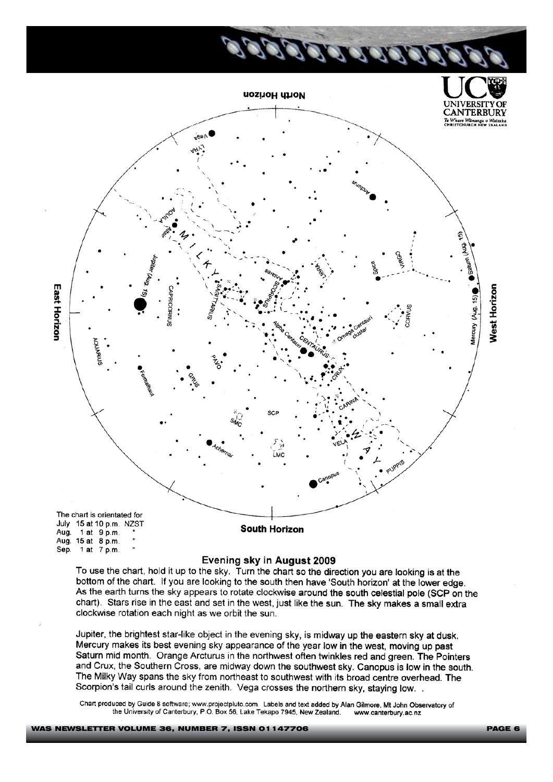

#### Evening sky in August 2009

To use the chart, hold it up to the sky. Turn the chart so the direction you are looking is at the bottom of the chart. If you are looking to the south then have 'South horizon' at the lower edge. As the earth turns the sky appears to rotate clockwise around the south celestial pole (SCP on the chart). Stars rise in the east and set in the west, just like the sun. The sky makes a small extra clockwise rotation each night as we orbit the sun.

Jupiter, the brightest star-like object in the evening sky, is midway up the eastern sky at dusk. Mercury makes its best evening sky appearance of the year low in the west, moving up past Saturn mid month. Orange Arcturus in the northwest often twinkles red and green. The Pointers and Crux; the Southern Cross, are midway down the southwest sky. Canopus is low in the south. The Milky Way spans the sky from northeast to southwest with its broad centre overhead. The Scorpion's tail curls around the zenith. Vega crosses the northern sky, staving low.

Chart produced by Guide 8 software; www.projectpluto.com. Labels and text added by Alan Gilmore, Mt John Observatory of the University of Canterbury, P.O. Box 56, Lake Tekapo 7945, New Zealand. www.canterbury.ac.nz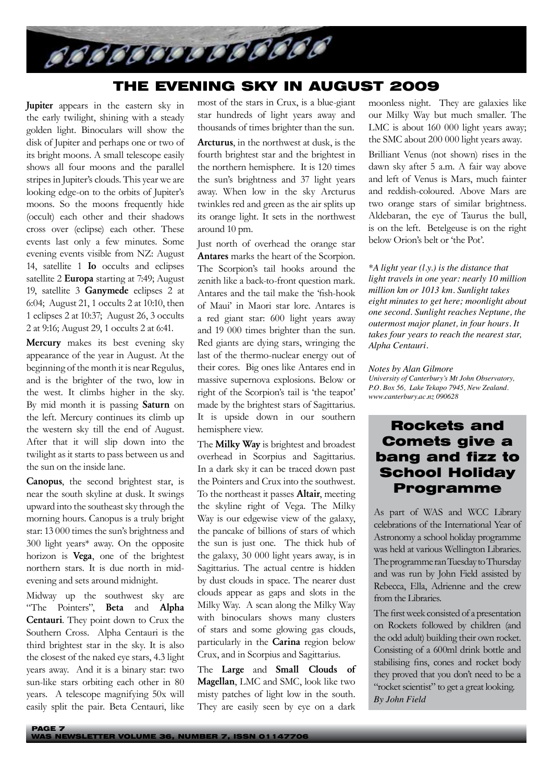

## THE EVENING SKY IN AUGUST 2009

Jupiter appears in the eastern sky in the early twilight, shining with a steady golden light. Binoculars will show the disk of Jupiter and perhaps one or two of its bright moons. A small telescope easily shows all four moons and the parallel stripes in Jupiter's clouds. This year we are looking edge-on to the orbits of Jupiter's moons. So the moons frequently hide (occult) each other and their shadows cross over (eclipse) each other. These events last only a few minutes. Some evening events visible from NZ: August 14, satellite 1 Io occults and eclipses satellite 2 Europa starting at 7:49; August 19, satellite 3 Ganymede eclipses 2 at 6:04; August 21, 1 occults 2 at 10:10, then 1 eclipses 2 at 10:37; August 26, 3 occults 2 at 9:16; August 29, 1 occults 2 at 6:41.

Mercury makes its best evening sky appearance of the year in August. At the beginning of the month it is near Regulus, and is the brighter of the two, low in the west. It climbs higher in the sky. By mid month it is passing Saturn on the left. Mercury continues its climb up the western sky till the end of August. After that it will slip down into the twilight as it starts to pass between us and the sun on the inside lane.

Canopus, the second brightest star, is near the south skyline at dusk. It swings upward into the southeast sky through the morning hours. Canopus is a truly bright star: 13 000 times the sun's brightness and 300 light years\* away. On the opposite horizon is Vega, one of the brightest northern stars. It is due north in midevening and sets around midnight.

Midway up the southwest sky are "The Pointers", Beta and Alpha Centauri. They point down to Crux the Southern Cross. Alpha Centauri is the third brightest star in the sky. It is also the closest of the naked eye stars, 4.3 light years away. And it is a binary star: two sun-like stars orbiting each other in 80 years. A telescope magnifying 50x will easily split the pair. Beta Centauri, like

most of the stars in Crux, is a blue-giant star hundreds of light years away and thousands of times brighter than the sun.

Arcturus, in the northwest at dusk, is the fourth brightest star and the brightest in the northern hemisphere. It is 120 times the sun's brightness and 37 light years away. When low in the sky Arcturus twinkles red and green as the air splits up its orange light. It sets in the northwest around 10 pm.

Just north of overhead the orange star Antares marks the heart of the Scorpion. The Scorpion's tail hooks around the zenith like a back-to-front question mark. Antares and the tail make the 'fish-hook of Maui' in Maori star lore. Antares is a red giant star: 600 light years away and 19 000 times brighter than the sun. Red giants are dying stars, wringing the last of the thermo-nuclear energy out of their cores. Big ones like Antares end in massive supernova explosions. Below or right of the Scorpion's tail is 'the teapot' made by the brightest stars of Sagittarius. It is upside down in our southern hemisphere view.

The **Milky Way** is brightest and broadest overhead in Scorpius and Sagittarius. In a dark sky it can be traced down past the Pointers and Crux into the southwest. To the northeast it passes Altair, meeting the skyline right of Vega. The Milky Way is our edgewise view of the galaxy, the pancake of billions of stars of which the sun is just one. The thick hub of the galaxy, 30 000 light years away, is in Sagittarius. The actual centre is hidden by dust clouds in space. The nearer dust clouds appear as gaps and slots in the Milky Way. A scan along the Milky Way with binoculars shows many clusters of stars and some glowing gas clouds, particularly in the Carina region below Crux, and in Scorpius and Sagittarius.

The Large and Small Clouds of Magellan, LMC and SMC, look like two misty patches of light low in the south. They are easily seen by eye on a dark

moonless night. They are galaxies like our Milky Way but much smaller. The LMC is about 160 000 light years away; the SMC about 200 000 light years away.

Brilliant Venus (not shown) rises in the dawn sky after 5 a.m. A fair way above and left of Venus is Mars, much fainter and reddish-coloured. Above Mars are two orange stars of similar brightness. Aldebaran, the eye of Taurus the bull, is on the left. Betelgeuse is on the right below Orion's belt or 'the Pot'.

*\*A light year (l.y.) is the distance that light travels in one year: nearly 10 million million km or 1013 km. Sunlight takes eight minutes to get here; moonlight about one second. Sunlight reaches Neptune, the outermost major planet, in four hours. It takes four years to reach the nearest star, Alpha Centauri.*

#### *Notes by Alan Gilmore*

*University of Canterbury's Mt John Observatory, P.O. Box 56, Lake Tekapo 7945, New Zealand. www.canterbury.ac.nz 090628*

## Rockets and Comets give a bang and fizz to School Holiday Programme

As part of WAS and WCC Library celebrations of the International Year of Astronomy a school holiday programme was held at various Wellington Libraries. The programme ran Tuesday to Thursday and was run by John Field assisted by Rebecca, Ella, Adrienne and the crew from the Libraries.

The first week consisted of a presentation on Rockets followed by children (and the odd adult) building their own rocket. Consisting of a 600ml drink bottle and stabilising fins, cones and rocket body they proved that you don't need to be a "rocket scientist" to get a great looking. *By John Field*